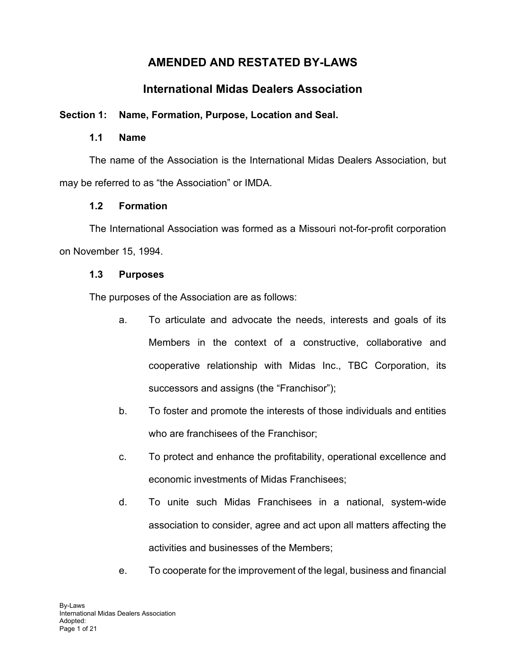# **AMENDED AND RESTATED BY-LAWS**

# **International Midas Dealers Association**

## **Section 1: Name, Formation, Purpose, Location and Seal.**

#### **1.1 Name**

The name of the Association is the International Midas Dealers Association, but may be referred to as "the Association" or IMDA.

## **1.2 Formation**

The International Association was formed as a Missouri not-for-profit corporation on November 15, 1994.

## **1.3 Purposes**

The purposes of the Association are as follows:

- a. To articulate and advocate the needs, interests and goals of its Members in the context of a constructive, collaborative and cooperative relationship with Midas Inc., TBC Corporation, its successors and assigns (the "Franchisor");
- b. To foster and promote the interests of those individuals and entities who are franchisees of the Franchisor;
- c. To protect and enhance the profitability, operational excellence and economic investments of Midas Franchisees;
- d. To unite such Midas Franchisees in a national, system-wide association to consider, agree and act upon all matters affecting the activities and businesses of the Members;
- e. To cooperate for the improvement of the legal, business and financial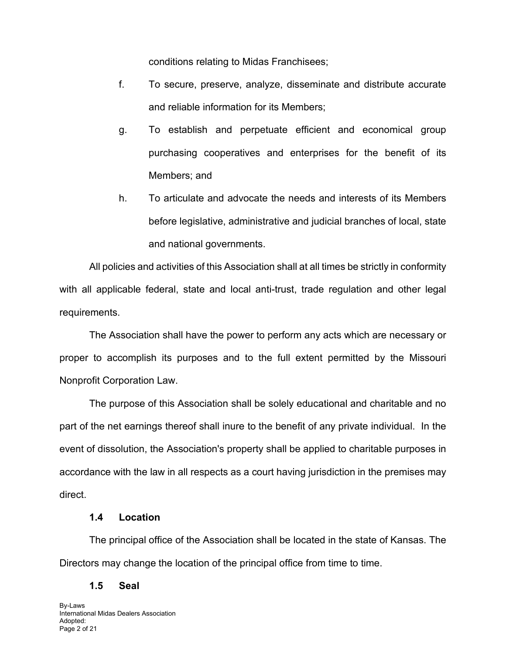conditions relating to Midas Franchisees;

- f. To secure, preserve, analyze, disseminate and distribute accurate and reliable information for its Members;
- g. To establish and perpetuate efficient and economical group purchasing cooperatives and enterprises for the benefit of its Members; and
- h. To articulate and advocate the needs and interests of its Members before legislative, administrative and judicial branches of local, state and national governments.

All policies and activities of this Association shall at all times be strictly in conformity with all applicable federal, state and local anti-trust, trade regulation and other legal requirements.

The Association shall have the power to perform any acts which are necessary or proper to accomplish its purposes and to the full extent permitted by the Missouri Nonprofit Corporation Law.

The purpose of this Association shall be solely educational and charitable and no part of the net earnings thereof shall inure to the benefit of any private individual. In the event of dissolution, the Association's property shall be applied to charitable purposes in accordance with the law in all respects as a court having jurisdiction in the premises may direct.

#### **1.4 Location**

The principal office of the Association shall be located in the state of Kansas. The Directors may change the location of the principal office from time to time.

#### **1.5 Seal**

By-Laws International Midas Dealers Association Adopted: Page 2 of 21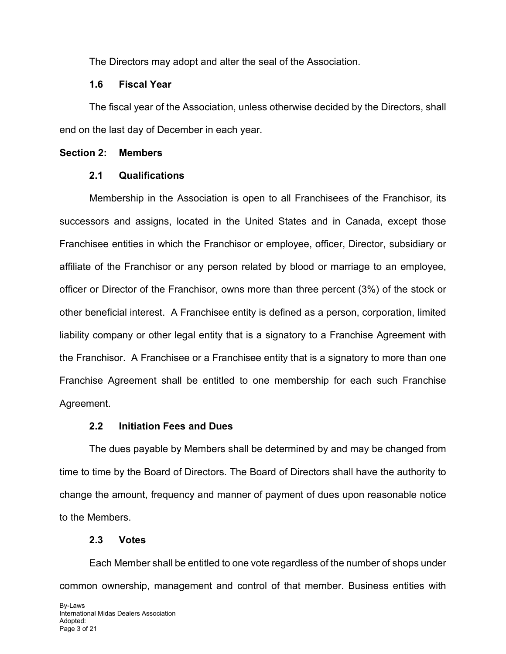The Directors may adopt and alter the seal of the Association.

#### **1.6 Fiscal Year**

The fiscal year of the Association, unless otherwise decided by the Directors, shall end on the last day of December in each year.

#### **Section 2: Members**

## **2.1 Qualifications**

Membership in the Association is open to all Franchisees of the Franchisor, its successors and assigns, located in the United States and in Canada, except those Franchisee entities in which the Franchisor or employee, officer, Director, subsidiary or affiliate of the Franchisor or any person related by blood or marriage to an employee, officer or Director of the Franchisor, owns more than three percent (3%) of the stock or other beneficial interest. A Franchisee entity is defined as a person, corporation, limited liability company or other legal entity that is a signatory to a Franchise Agreement with the Franchisor. A Franchisee or a Franchisee entity that is a signatory to more than one Franchise Agreement shall be entitled to one membership for each such Franchise Agreement.

## **2.2 Initiation Fees and Dues**

The dues payable by Members shall be determined by and may be changed from time to time by the Board of Directors. The Board of Directors shall have the authority to change the amount, frequency and manner of payment of dues upon reasonable notice to the Members.

## **2.3 Votes**

Each Member shall be entitled to one vote regardless of the number of shops under common ownership, management and control of that member. Business entities with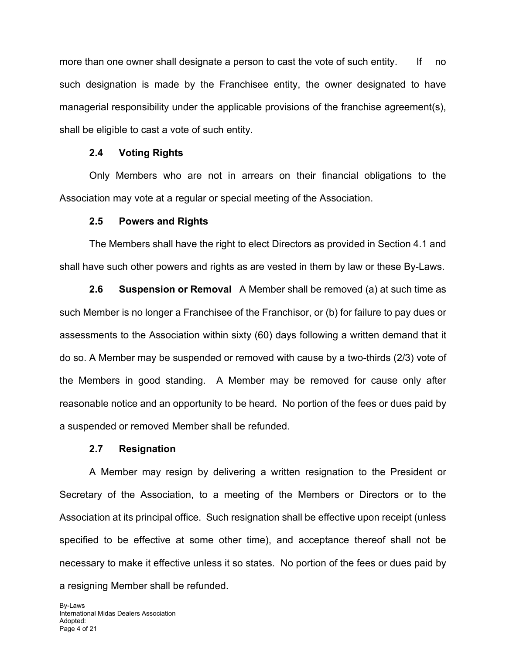more than one owner shall designate a person to cast the vote of such entity. If no such designation is made by the Franchisee entity, the owner designated to have managerial responsibility under the applicable provisions of the franchise agreement(s), shall be eligible to cast a vote of such entity.

#### **2.4 Voting Rights**

Only Members who are not in arrears on their financial obligations to the Association may vote at a regular or special meeting of the Association.

#### **2.5 Powers and Rights**

The Members shall have the right to elect Directors as provided in Section 4.1 and shall have such other powers and rights as are vested in them by law or these By-Laws.

**2.6 Suspension or Removal** A Member shall be removed (a) at such time as such Member is no longer a Franchisee of the Franchisor, or (b) for failure to pay dues or assessments to the Association within sixty (60) days following a written demand that it do so. A Member may be suspended or removed with cause by a two-thirds (2/3) vote of the Members in good standing. A Member may be removed for cause only after reasonable notice and an opportunity to be heard. No portion of the fees or dues paid by a suspended or removed Member shall be refunded.

#### **2.7 Resignation**

A Member may resign by delivering a written resignation to the President or Secretary of the Association, to a meeting of the Members or Directors or to the Association at its principal office. Such resignation shall be effective upon receipt (unless specified to be effective at some other time), and acceptance thereof shall not be necessary to make it effective unless it so states. No portion of the fees or dues paid by a resigning Member shall be refunded.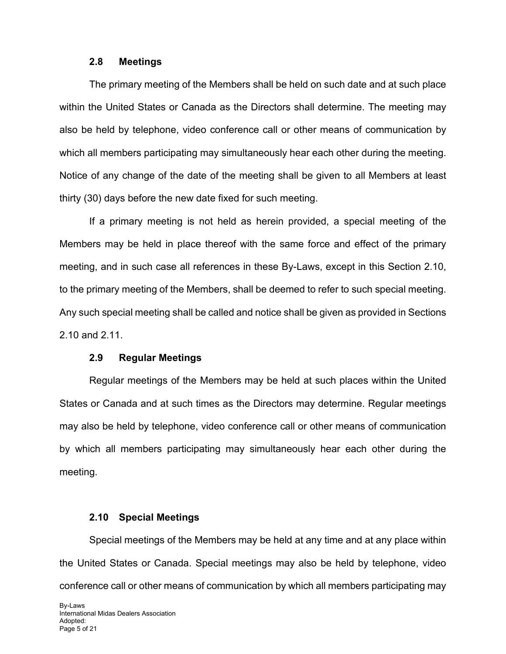#### **2.8 Meetings**

The primary meeting of the Members shall be held on such date and at such place within the United States or Canada as the Directors shall determine. The meeting may also be held by telephone, video conference call or other means of communication by which all members participating may simultaneously hear each other during the meeting. Notice of any change of the date of the meeting shall be given to all Members at least thirty (30) days before the new date fixed for such meeting.

If a primary meeting is not held as herein provided, a special meeting of the Members may be held in place thereof with the same force and effect of the primary meeting, and in such case all references in these By-Laws, except in this Section 2.10, to the primary meeting of the Members, shall be deemed to refer to such special meeting. Any such special meeting shall be called and notice shall be given as provided in Sections 2.10 and 2.11.

#### **2.9 Regular Meetings**

Regular meetings of the Members may be held at such places within the United States or Canada and at such times as the Directors may determine. Regular meetings may also be held by telephone, video conference call or other means of communication by which all members participating may simultaneously hear each other during the meeting.

#### **2.10 Special Meetings**

Special meetings of the Members may be held at any time and at any place within the United States or Canada. Special meetings may also be held by telephone, video conference call or other means of communication by which all members participating may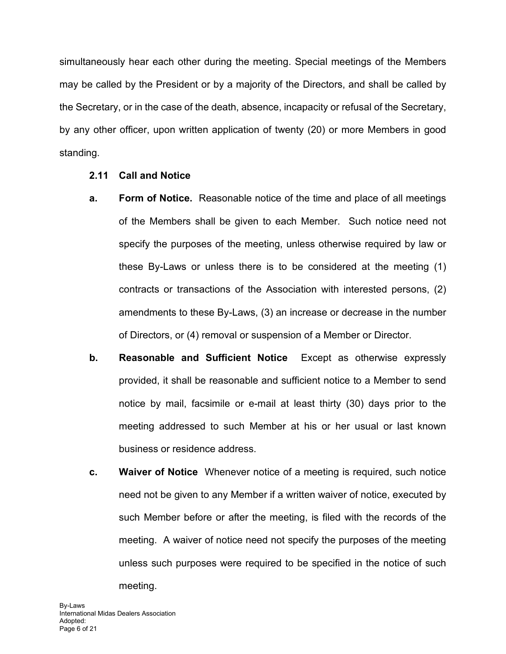simultaneously hear each other during the meeting. Special meetings of the Members may be called by the President or by a majority of the Directors, and shall be called by the Secretary, or in the case of the death, absence, incapacity or refusal of the Secretary, by any other officer, upon written application of twenty (20) or more Members in good standing.

- **2.11 Call and Notice**
- **a. Form of Notice.** Reasonable notice of the time and place of all meetings of the Members shall be given to each Member. Such notice need not specify the purposes of the meeting, unless otherwise required by law or these By-Laws or unless there is to be considered at the meeting (1) contracts or transactions of the Association with interested persons, (2) amendments to these By-Laws, (3) an increase or decrease in the number of Directors, or (4) removal or suspension of a Member or Director.
- **b. Reasonable and Sufficient Notice** Except as otherwise expressly provided, it shall be reasonable and sufficient notice to a Member to send notice by mail, facsimile or e-mail at least thirty (30) days prior to the meeting addressed to such Member at his or her usual or last known business or residence address.
- **c. Waiver of Notice** Whenever notice of a meeting is required, such notice need not be given to any Member if a written waiver of notice, executed by such Member before or after the meeting, is filed with the records of the meeting. A waiver of notice need not specify the purposes of the meeting unless such purposes were required to be specified in the notice of such meeting.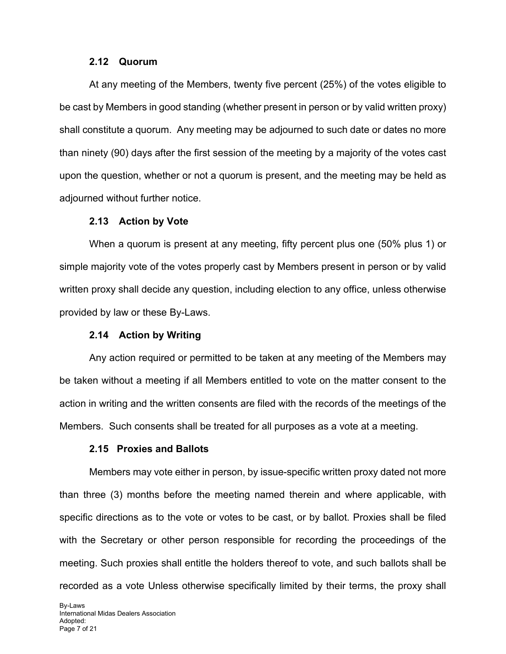#### **2.12 Quorum**

At any meeting of the Members, twenty five percent (25%) of the votes eligible to be cast by Members in good standing (whether present in person or by valid written proxy) shall constitute a quorum. Any meeting may be adjourned to such date or dates no more than ninety (90) days after the first session of the meeting by a majority of the votes cast upon the question, whether or not a quorum is present, and the meeting may be held as adjourned without further notice.

#### **2.13 Action by Vote**

When a quorum is present at any meeting, fifty percent plus one (50% plus 1) or simple majority vote of the votes properly cast by Members present in person or by valid written proxy shall decide any question, including election to any office, unless otherwise provided by law or these By-Laws.

#### **2.14 Action by Writing**

Any action required or permitted to be taken at any meeting of the Members may be taken without a meeting if all Members entitled to vote on the matter consent to the action in writing and the written consents are filed with the records of the meetings of the Members. Such consents shall be treated for all purposes as a vote at a meeting.

#### **2.15 Proxies and Ballots**

Members may vote either in person, by issue-specific written proxy dated not more than three (3) months before the meeting named therein and where applicable, with specific directions as to the vote or votes to be cast, or by ballot. Proxies shall be filed with the Secretary or other person responsible for recording the proceedings of the meeting. Such proxies shall entitle the holders thereof to vote, and such ballots shall be recorded as a vote Unless otherwise specifically limited by their terms, the proxy shall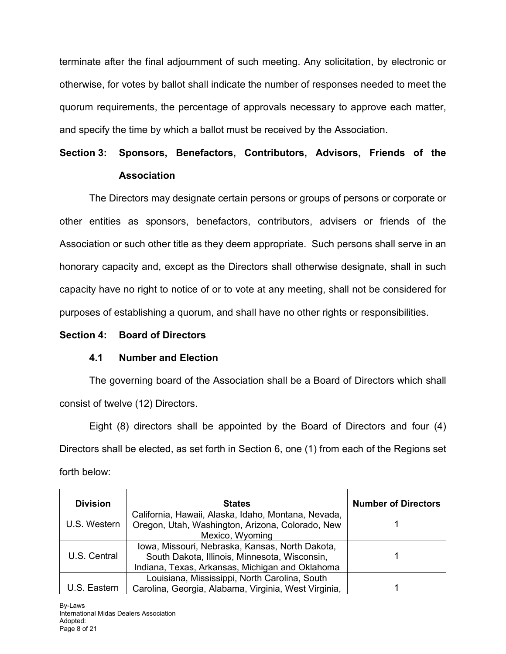terminate after the final adjournment of such meeting. Any solicitation, by electronic or otherwise, for votes by ballot shall indicate the number of responses needed to meet the quorum requirements, the percentage of approvals necessary to approve each matter, and specify the time by which a ballot must be received by the Association.

# **Section 3: Sponsors, Benefactors, Contributors, Advisors, Friends of the Association**

The Directors may designate certain persons or groups of persons or corporate or other entities as sponsors, benefactors, contributors, advisers or friends of the Association or such other title as they deem appropriate. Such persons shall serve in an honorary capacity and, except as the Directors shall otherwise designate, shall in such capacity have no right to notice of or to vote at any meeting, shall not be considered for purposes of establishing a quorum, and shall have no other rights or responsibilities.

#### **Section 4: Board of Directors**

## **4.1 Number and Election**

The governing board of the Association shall be a Board of Directors which shall consist of twelve (12) Directors.

Eight (8) directors shall be appointed by the Board of Directors and four (4) Directors shall be elected, as set forth in Section 6, one (1) from each of the Regions set forth below:

| <b>Division</b> | <b>States</b>                                                       | <b>Number of Directors</b> |
|-----------------|---------------------------------------------------------------------|----------------------------|
|                 | California, Hawaii, Alaska, Idaho, Montana, Nevada,                 |                            |
| U.S. Western    | Oregon, Utah, Washington, Arizona, Colorado, New<br>Mexico, Wyoming |                            |
|                 | Iowa, Missouri, Nebraska, Kansas, North Dakota,                     |                            |
| U.S. Central    | South Dakota, Illinois, Minnesota, Wisconsin,                       |                            |
|                 | Indiana, Texas, Arkansas, Michigan and Oklahoma                     |                            |
|                 | Louisiana, Mississippi, North Carolina, South                       |                            |
| U.S. Eastern    | Carolina, Georgia, Alabama, Virginia, West Virginia,                |                            |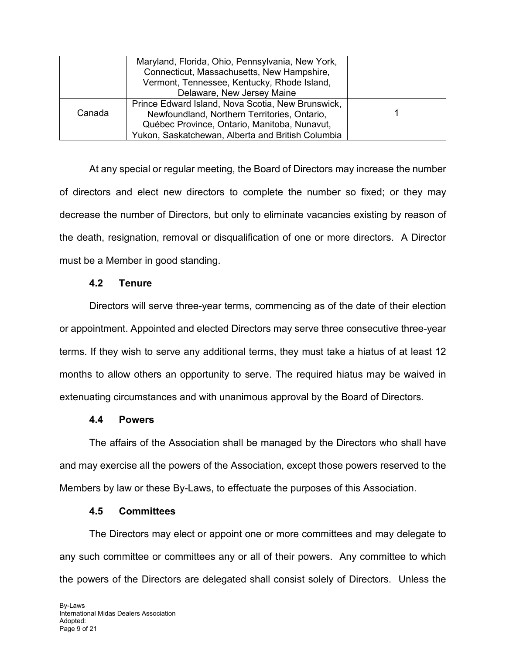|        | Maryland, Florida, Ohio, Pennsylvania, New York,  |  |
|--------|---------------------------------------------------|--|
|        | Connecticut, Massachusetts, New Hampshire,        |  |
|        | Vermont, Tennessee, Kentucky, Rhode Island,       |  |
|        | Delaware, New Jersey Maine                        |  |
|        | Prince Edward Island, Nova Scotia, New Brunswick, |  |
| Canada | Newfoundland, Northern Territories, Ontario,      |  |
|        | Québec Province, Ontario, Manitoba, Nunavut,      |  |
|        | Yukon, Saskatchewan, Alberta and British Columbia |  |

At any special or regular meeting, the Board of Directors may increase the number of directors and elect new directors to complete the number so fixed; or they may decrease the number of Directors, but only to eliminate vacancies existing by reason of the death, resignation, removal or disqualification of one or more directors. A Director must be a Member in good standing.

#### **4.2 Tenure**

Directors will serve three-year terms, commencing as of the date of their election or appointment. Appointed and elected Directors may serve three consecutive three-year terms. If they wish to serve any additional terms, they must take a hiatus of at least 12 months to allow others an opportunity to serve. The required hiatus may be waived in extenuating circumstances and with unanimous approval by the Board of Directors.

#### **4.4 Powers**

The affairs of the Association shall be managed by the Directors who shall have and may exercise all the powers of the Association, except those powers reserved to the Members by law or these By-Laws, to effectuate the purposes of this Association.

#### **4.5 Committees**

The Directors may elect or appoint one or more committees and may delegate to any such committee or committees any or all of their powers. Any committee to which the powers of the Directors are delegated shall consist solely of Directors. Unless the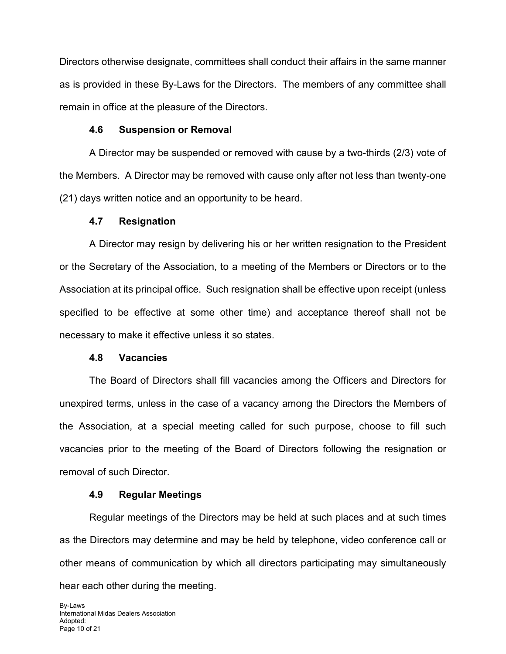Directors otherwise designate, committees shall conduct their affairs in the same manner as is provided in these By-Laws for the Directors. The members of any committee shall remain in office at the pleasure of the Directors.

#### **4.6 Suspension or Removal**

A Director may be suspended or removed with cause by a two-thirds (2/3) vote of the Members. A Director may be removed with cause only after not less than twenty-one (21) days written notice and an opportunity to be heard.

#### **4.7 Resignation**

A Director may resign by delivering his or her written resignation to the President or the Secretary of the Association, to a meeting of the Members or Directors or to the Association at its principal office. Such resignation shall be effective upon receipt (unless specified to be effective at some other time) and acceptance thereof shall not be necessary to make it effective unless it so states.

#### **4.8 Vacancies**

The Board of Directors shall fill vacancies among the Officers and Directors for unexpired terms, unless in the case of a vacancy among the Directors the Members of the Association, at a special meeting called for such purpose, choose to fill such vacancies prior to the meeting of the Board of Directors following the resignation or removal of such Director.

#### **4.9 Regular Meetings**

Regular meetings of the Directors may be held at such places and at such times as the Directors may determine and may be held by telephone, video conference call or other means of communication by which all directors participating may simultaneously hear each other during the meeting.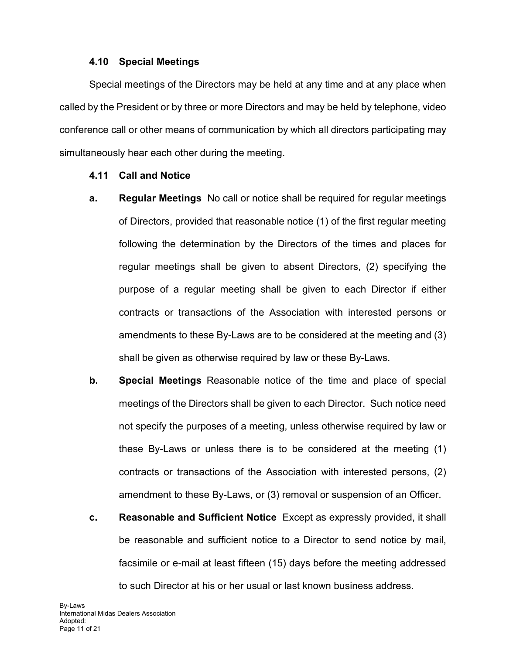#### **4.10 Special Meetings**

Special meetings of the Directors may be held at any time and at any place when called by the President or by three or more Directors and may be held by telephone, video conference call or other means of communication by which all directors participating may simultaneously hear each other during the meeting.

#### **4.11 Call and Notice**

- **a. Regular Meetings** No call or notice shall be required for regular meetings of Directors, provided that reasonable notice (1) of the first regular meeting following the determination by the Directors of the times and places for regular meetings shall be given to absent Directors, (2) specifying the purpose of a regular meeting shall be given to each Director if either contracts or transactions of the Association with interested persons or amendments to these By-Laws are to be considered at the meeting and (3) shall be given as otherwise required by law or these By-Laws.
- **b. Special Meetings** Reasonable notice of the time and place of special meetings of the Directors shall be given to each Director. Such notice need not specify the purposes of a meeting, unless otherwise required by law or these By-Laws or unless there is to be considered at the meeting (1) contracts or transactions of the Association with interested persons, (2) amendment to these By-Laws, or (3) removal or suspension of an Officer.
- **c. Reasonable and Sufficient Notice** Except as expressly provided, it shall be reasonable and sufficient notice to a Director to send notice by mail, facsimile or e-mail at least fifteen (15) days before the meeting addressed to such Director at his or her usual or last known business address.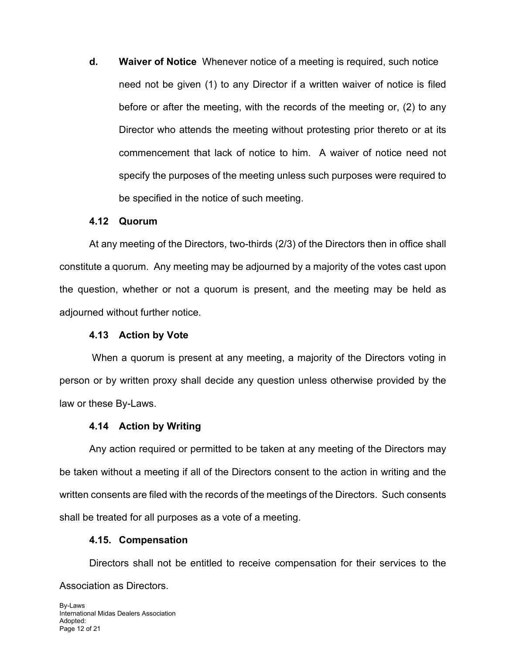**d. Waiver of Notice** Whenever notice of a meeting is required, such notice need not be given (1) to any Director if a written waiver of notice is filed before or after the meeting, with the records of the meeting or, (2) to any Director who attends the meeting without protesting prior thereto or at its commencement that lack of notice to him. A waiver of notice need not specify the purposes of the meeting unless such purposes were required to be specified in the notice of such meeting.

#### **4.12 Quorum**

At any meeting of the Directors, two-thirds (2/3) of the Directors then in office shall constitute a quorum. Any meeting may be adjourned by a majority of the votes cast upon the question, whether or not a quorum is present, and the meeting may be held as adjourned without further notice.

#### **4.13 Action by Vote**

When a quorum is present at any meeting, a majority of the Directors voting in person or by written proxy shall decide any question unless otherwise provided by the law or these By-Laws.

#### **4.14 Action by Writing**

Any action required or permitted to be taken at any meeting of the Directors may be taken without a meeting if all of the Directors consent to the action in writing and the written consents are filed with the records of the meetings of the Directors. Such consents shall be treated for all purposes as a vote of a meeting.

#### **4.15. Compensation**

Directors shall not be entitled to receive compensation for their services to the Association as Directors.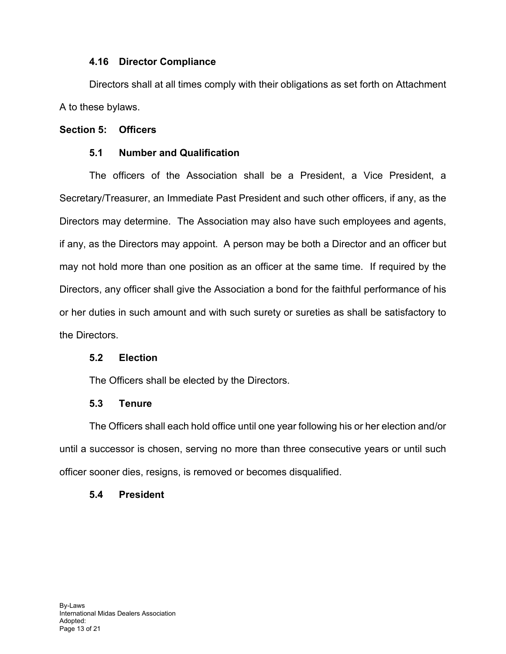#### **4.16 Director Compliance**

Directors shall at all times comply with their obligations as set forth on Attachment A to these bylaws.

#### **Section 5: Officers**

#### **5.1 Number and Qualification**

The officers of the Association shall be a President, a Vice President, a Secretary/Treasurer, an Immediate Past President and such other officers, if any, as the Directors may determine. The Association may also have such employees and agents, if any, as the Directors may appoint. A person may be both a Director and an officer but may not hold more than one position as an officer at the same time. If required by the Directors, any officer shall give the Association a bond for the faithful performance of his or her duties in such amount and with such surety or sureties as shall be satisfactory to the Directors.

#### **5.2 Election**

The Officers shall be elected by the Directors.

#### **5.3 Tenure**

The Officers shall each hold office until one year following his or her election and/or until a successor is chosen, serving no more than three consecutive years or until such officer sooner dies, resigns, is removed or becomes disqualified.

#### **5.4 President**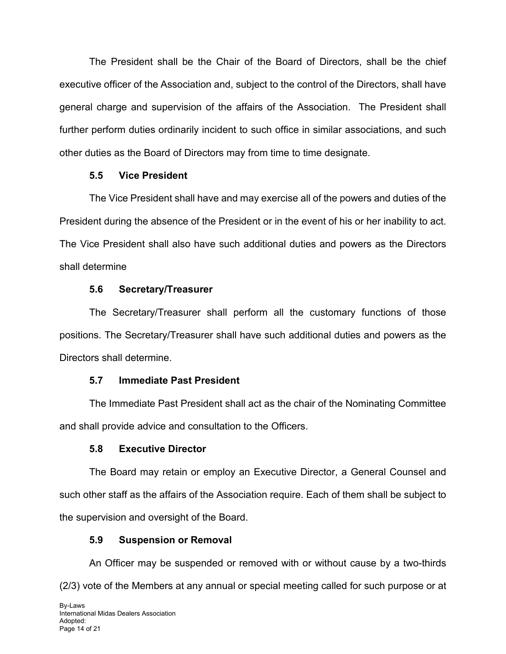The President shall be the Chair of the Board of Directors, shall be the chief executive officer of the Association and, subject to the control of the Directors, shall have general charge and supervision of the affairs of the Association. The President shall further perform duties ordinarily incident to such office in similar associations, and such other duties as the Board of Directors may from time to time designate.

## **5.5 Vice President**

The Vice President shall have and may exercise all of the powers and duties of the President during the absence of the President or in the event of his or her inability to act. The Vice President shall also have such additional duties and powers as the Directors shall determine

## **5.6 Secretary/Treasurer**

The Secretary/Treasurer shall perform all the customary functions of those positions. The Secretary/Treasurer shall have such additional duties and powers as the Directors shall determine.

## **5.7 Immediate Past President**

The Immediate Past President shall act as the chair of the Nominating Committee and shall provide advice and consultation to the Officers.

## **5.8 Executive Director**

The Board may retain or employ an Executive Director, a General Counsel and such other staff as the affairs of the Association require. Each of them shall be subject to the supervision and oversight of the Board.

## **5.9 Suspension or Removal**

An Officer may be suspended or removed with or without cause by a two-thirds (2/3) vote of the Members at any annual or special meeting called for such purpose or at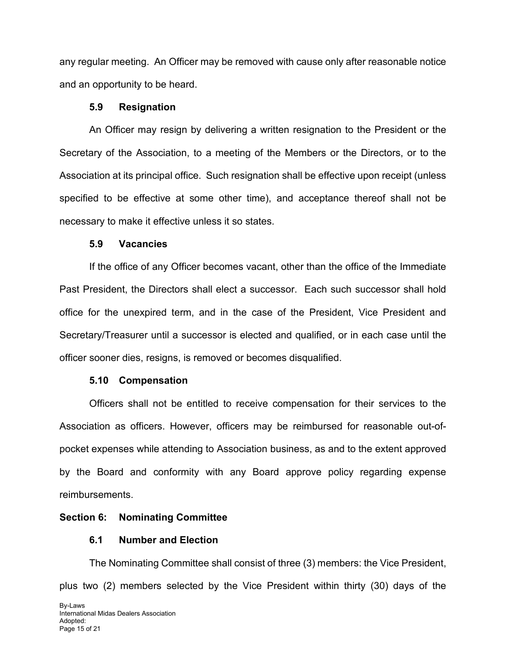any regular meeting. An Officer may be removed with cause only after reasonable notice and an opportunity to be heard.

#### **5.9 Resignation**

An Officer may resign by delivering a written resignation to the President or the Secretary of the Association, to a meeting of the Members or the Directors, or to the Association at its principal office. Such resignation shall be effective upon receipt (unless specified to be effective at some other time), and acceptance thereof shall not be necessary to make it effective unless it so states.

#### **5.9 Vacancies**

If the office of any Officer becomes vacant, other than the office of the Immediate Past President, the Directors shall elect a successor. Each such successor shall hold office for the unexpired term, and in the case of the President, Vice President and Secretary/Treasurer until a successor is elected and qualified, or in each case until the officer sooner dies, resigns, is removed or becomes disqualified.

## **5.10 Compensation**

Officers shall not be entitled to receive compensation for their services to the Association as officers. However, officers may be reimbursed for reasonable out-ofpocket expenses while attending to Association business, as and to the extent approved by the Board and conformity with any Board approve policy regarding expense reimbursements.

## **Section 6: Nominating Committee**

## **6.1 Number and Election**

The Nominating Committee shall consist of three (3) members: the Vice President, plus two (2) members selected by the Vice President within thirty (30) days of the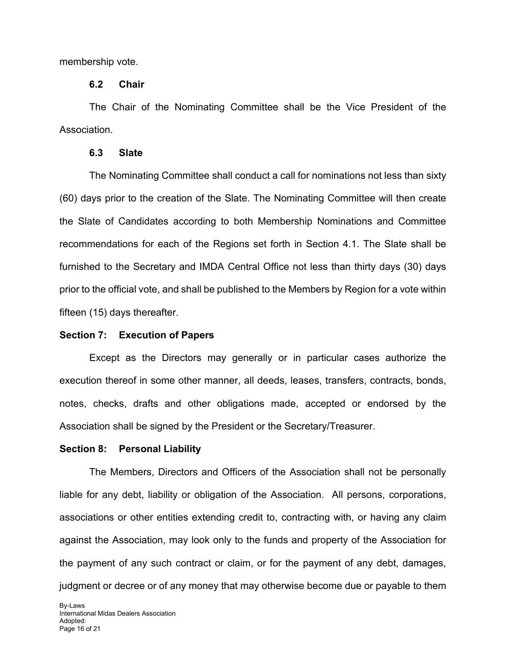membership vote.

#### **6.2 Chair**

The Chair of the Nominating Committee shall be the Vice President of the Association.

#### **6.3 Slate**

The Nominating Committee shall conduct a call for nominations not less than sixty (60) days prior to the creation of the Slate. The Nominating Committee will then create the Slate of Candidates according to both Membership Nominations and Committee recommendations for each of the Regions set forth in Section 4.1. The Slate shall be furnished to the Secretary and IMDA Central Office not less than thirty days (30) days prior to the official vote, and shall be published to the Members by Region for a vote within fifteen (15) days thereafter.

#### **Section 7: Execution of Papers**

Except as the Directors may generally or in particular cases authorize the execution thereof in some other manner, all deeds, leases, transfers, contracts, bonds, notes, checks, drafts and other obligations made, accepted or endorsed by the Association shall be signed by the President or the Secretary/Treasurer.

#### **Section 8: Personal Liability**

The Members, Directors and Officers of the Association shall not be personally liable for any debt, liability or obligation of the Association. All persons, corporations, associations or other entities extending credit to, contracting with, or having any claim against the Association, may look only to the funds and property of the Association for the payment of any such contract or claim, or for the payment of any debt, damages, judgment or decree or of any money that may otherwise become due or payable to them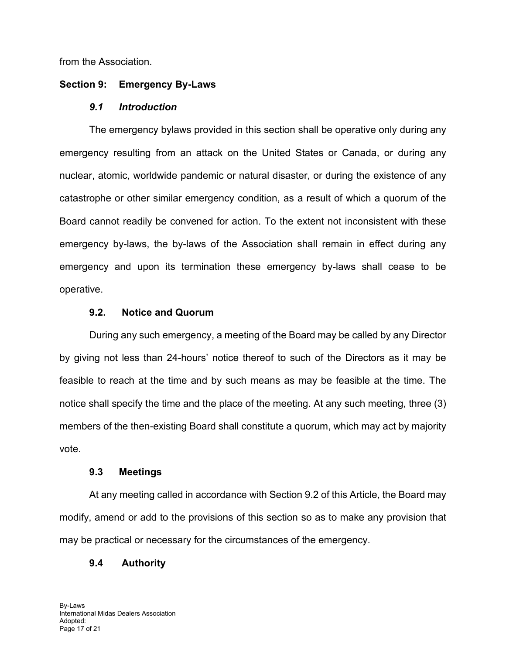from the Association.

#### **Section 9: Emergency By-Laws**

#### *9.1 Introduction*

The emergency bylaws provided in this section shall be operative only during any emergency resulting from an attack on the United States or Canada, or during any nuclear, atomic, worldwide pandemic or natural disaster, or during the existence of any catastrophe or other similar emergency condition, as a result of which a quorum of the Board cannot readily be convened for action. To the extent not inconsistent with these emergency by-laws, the by-laws of the Association shall remain in effect during any emergency and upon its termination these emergency by-laws shall cease to be operative.

## **9.2. Notice and Quorum**

During any such emergency, a meeting of the Board may be called by any Director by giving not less than 24-hours' notice thereof to such of the Directors as it may be feasible to reach at the time and by such means as may be feasible at the time. The notice shall specify the time and the place of the meeting. At any such meeting, three (3) members of the then-existing Board shall constitute a quorum, which may act by majority vote.

#### **9.3 Meetings**

At any meeting called in accordance with Section 9.2 of this Article, the Board may modify, amend or add to the provisions of this section so as to make any provision that may be practical or necessary for the circumstances of the emergency.

## **9.4 Authority**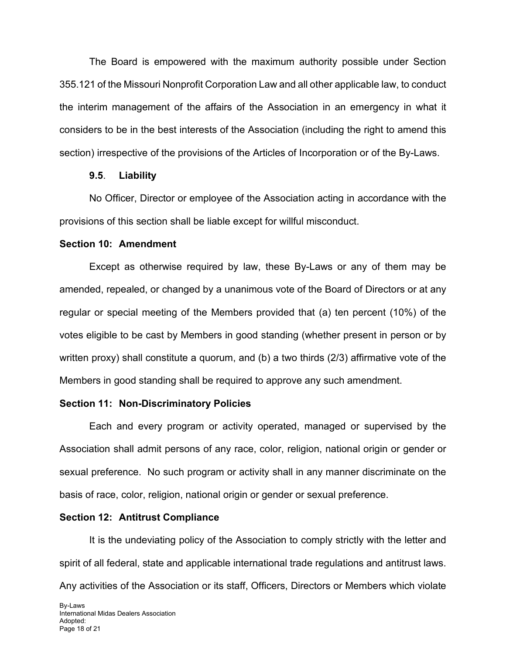The Board is empowered with the maximum authority possible under Section 355.121 of the Missouri Nonprofit Corporation Law and all other applicable law, to conduct the interim management of the affairs of the Association in an emergency in what it considers to be in the best interests of the Association (including the right to amend this section) irrespective of the provisions of the Articles of Incorporation or of the By-Laws.

#### **9.5**. **Liability**

No Officer, Director or employee of the Association acting in accordance with the provisions of this section shall be liable except for willful misconduct.

#### **Section 10: Amendment**

Except as otherwise required by law, these By-Laws or any of them may be amended, repealed, or changed by a unanimous vote of the Board of Directors or at any regular or special meeting of the Members provided that (a) ten percent (10%) of the votes eligible to be cast by Members in good standing (whether present in person or by written proxy) shall constitute a quorum, and (b) a two thirds (2/3) affirmative vote of the Members in good standing shall be required to approve any such amendment.

#### **Section 11: Non-Discriminatory Policies**

Each and every program or activity operated, managed or supervised by the Association shall admit persons of any race, color, religion, national origin or gender or sexual preference. No such program or activity shall in any manner discriminate on the basis of race, color, religion, national origin or gender or sexual preference.

#### **Section 12: Antitrust Compliance**

It is the undeviating policy of the Association to comply strictly with the letter and spirit of all federal, state and applicable international trade regulations and antitrust laws. Any activities of the Association or its staff, Officers, Directors or Members which violate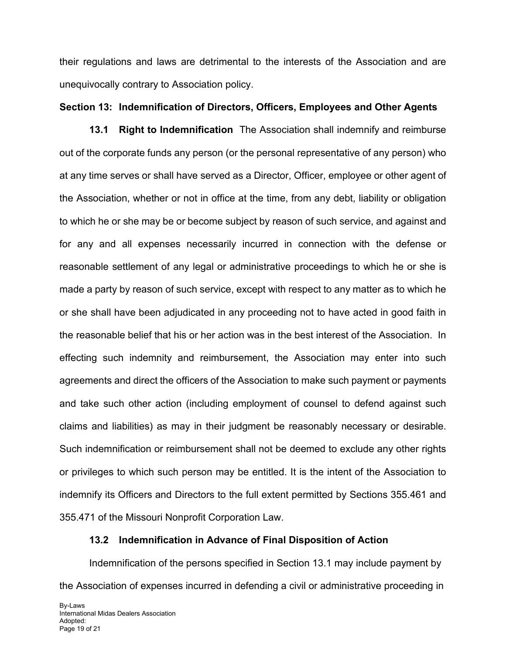their regulations and laws are detrimental to the interests of the Association and are unequivocally contrary to Association policy.

#### **Section 13: Indemnification of Directors, Officers, Employees and Other Agents**

**13.1 Right to Indemnification** The Association shall indemnify and reimburse out of the corporate funds any person (or the personal representative of any person) who at any time serves or shall have served as a Director, Officer, employee or other agent of the Association, whether or not in office at the time, from any debt, liability or obligation to which he or she may be or become subject by reason of such service, and against and for any and all expenses necessarily incurred in connection with the defense or reasonable settlement of any legal or administrative proceedings to which he or she is made a party by reason of such service, except with respect to any matter as to which he or she shall have been adjudicated in any proceeding not to have acted in good faith in the reasonable belief that his or her action was in the best interest of the Association. In effecting such indemnity and reimbursement, the Association may enter into such agreements and direct the officers of the Association to make such payment or payments and take such other action (including employment of counsel to defend against such claims and liabilities) as may in their judgment be reasonably necessary or desirable. Such indemnification or reimbursement shall not be deemed to exclude any other rights or privileges to which such person may be entitled. It is the intent of the Association to indemnify its Officers and Directors to the full extent permitted by Sections 355.461 and 355.471 of the Missouri Nonprofit Corporation Law.

## **13.2 Indemnification in Advance of Final Disposition of Action**

Indemnification of the persons specified in Section 13.1 may include payment by the Association of expenses incurred in defending a civil or administrative proceeding in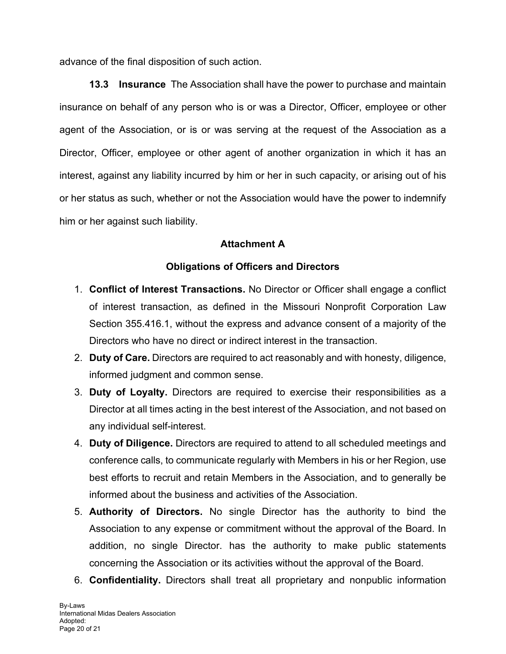advance of the final disposition of such action.

**13.3 Insurance** The Association shall have the power to purchase and maintain insurance on behalf of any person who is or was a Director, Officer, employee or other agent of the Association, or is or was serving at the request of the Association as a Director, Officer, employee or other agent of another organization in which it has an interest, against any liability incurred by him or her in such capacity, or arising out of his or her status as such, whether or not the Association would have the power to indemnify him or her against such liability.

## **Attachment A**

## **Obligations of Officers and Directors**

- 1. **Conflict of Interest Transactions.** No Director or Officer shall engage a conflict of interest transaction, as defined in the Missouri Nonprofit Corporation Law Section 355.416.1, without the express and advance consent of a majority of the Directors who have no direct or indirect interest in the transaction.
- 2. **Duty of Care.** Directors are required to act reasonably and with honesty, diligence, informed judgment and common sense.
- 3. **Duty of Loyalty.** Directors are required to exercise their responsibilities as a Director at all times acting in the best interest of the Association, and not based on any individual self-interest.
- 4. **Duty of Diligence.** Directors are required to attend to all scheduled meetings and conference calls, to communicate regularly with Members in his or her Region, use best efforts to recruit and retain Members in the Association, and to generally be informed about the business and activities of the Association.
- 5. **Authority of Directors.** No single Director has the authority to bind the Association to any expense or commitment without the approval of the Board. In addition, no single Director. has the authority to make public statements concerning the Association or its activities without the approval of the Board.
- 6. **Confidentiality.** Directors shall treat all proprietary and nonpublic information